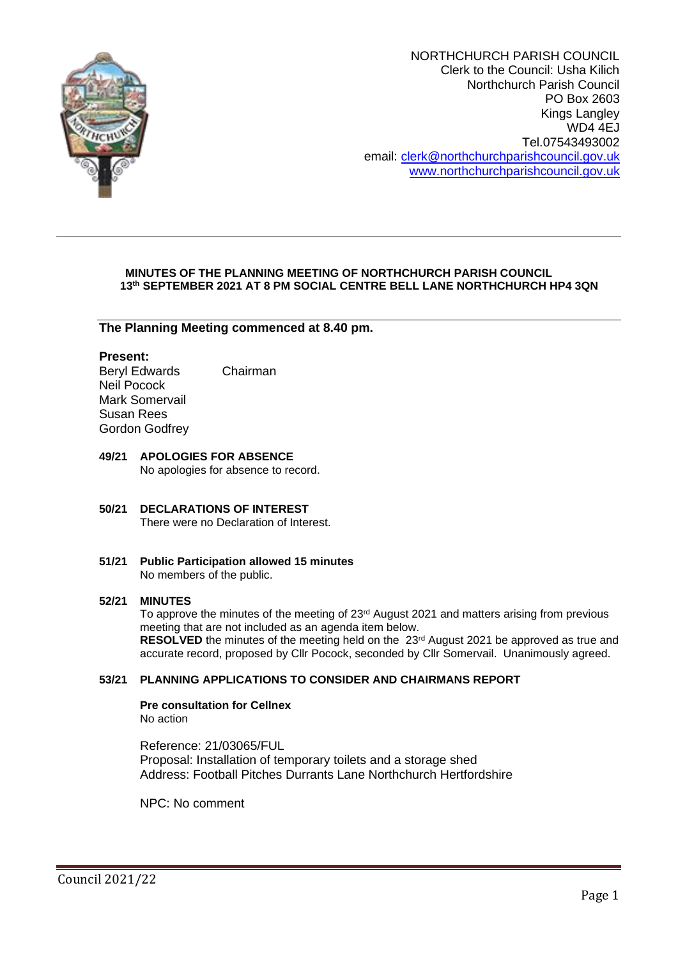

NORTHCHURCH PARISH COUNCIL Clerk to the Council: Usha Kilich Northchurch Parish Council PO Box 2603 Kings Langley WD4 4EJ Tel.07543493002 email: [clerk@northchurchparishcouncil.gov.uk](mailto:clerk@northchurchparishcouncil.gov.uk) [www.northchurchparishcouncil.gov.uk](http://www.northchurchparishcouncil.gov.uk/)

# **MINUTES OF THE PLANNING MEETING OF NORTHCHURCH PARISH COUNCIL 13th SEPTEMBER 2021 AT 8 PM SOCIAL CENTRE BELL LANE NORTHCHURCH HP4 3QN**

**The Planning Meeting commenced at 8.40 pm.**

# **Present:**

Beryl Edwards Chairman Neil Pocock Mark Somervail Susan Rees Gordon Godfrey

### **49/21 APOLOGIES FOR ABSENCE** No apologies for absence to record.

# **50/21 DECLARATIONS OF INTEREST**  There were no Declaration of Interest.

**51/21 Public Participation allowed 15 minutes** No members of the public.

## **52/21 MINUTES**

To approve the minutes of the meeting of 23<sup>rd</sup> August 2021 and matters arising from previous meeting that are not included as an agenda item below. **RESOLVED** the minutes of the meeting held on the 23<sup>rd</sup> August 2021 be approved as true and accurate record, proposed by Cllr Pocock, seconded by Cllr Somervail. Unanimously agreed.

# **53/21 PLANNING APPLICATIONS TO CONSIDER AND CHAIRMANS REPORT**

**Pre consultation for Cellnex** No action

Reference: 21/03065/FUL Proposal: Installation of temporary toilets and a storage shed Address: Football Pitches Durrants Lane Northchurch Hertfordshire

NPC: No comment